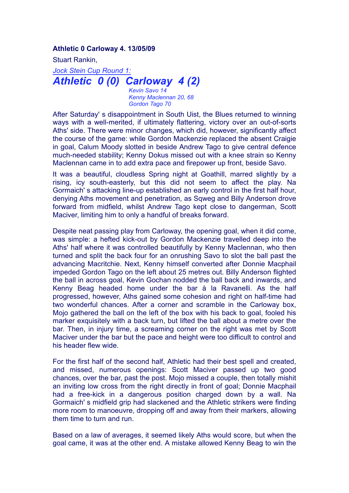**Athletic 0 Carloway 4. 13/05/09**

Stuart Rankin,

*Jock Stein Cup Round 1: Athletic 0 (0) Carloway 4 (2)*

> *Kevin Savo 14 Kenny Maclennan 20, 68 Gordon Tago 70*

After Saturday' s disappointment in South Uist, the Blues returned to winning ways with a well-merited, if ultimately flattering, victory over an out-of-sorts Aths' side. There were minor changes, which did, however, significantly affect the course of the game: while Gordon Mackenzie replaced the absent Craigie in goal, Calum Moody slotted in beside Andrew Tago to give central defence much-needed stability; Kenny Dokus missed out with a knee strain so Kenny Maclennan came in to add extra pace and firepower up front, beside Savo.

It was a beautiful, cloudless Spring night at Goathill, marred slightly by a rising, icy south-easterly, but this did not seem to affect the play. Na Gormaich' s attacking line-up established an early control in the first half hour, denying Aths movement and penetration, as Sqweg and Billy Anderson drove forward from midfield, whilst Andrew Tago kept close to dangerman, Scott Maciver, limiting him to only a handful of breaks forward.

Despite neat passing play from Carloway, the opening goal, when it did come, was simple: a hefted kick-out by Gordon Mackenzie travelled deep into the Aths' half where it was controlled beautifully by Kenny Maclennan, who then turned and split the back four for an onrushing Savo to slot the ball past the advancing Macritchie. Next, Kenny himself converted after Donnie Macphail impeded Gordon Tago on the left about 25 metres out. Billy Anderson flighted the ball in across goal, Kevin Gochan nodded the ball back and inwards, and Kenny Beag headed home under the bar à la Ravanelli. As the half progressed, however, Aths gained some cohesion and right on half-time had two wonderful chances. After a corner and scramble in the Carloway box, Mojo gathered the ball on the left of the box with his back to goal, fooled his marker exquisitely with a back turn, but lifted the ball about a metre over the bar. Then, in injury time, a screaming corner on the right was met by Scott Maciver under the bar but the pace and height were too difficult to control and his header flew wide.

For the first half of the second half, Athletic had their best spell and created, and missed, numerous openings: Scott Maciver passed up two good chances, over the bar, past the post. Mojo missed a couple, then totally mishit an inviting low cross from the right directly in front of goal; Donnie Macphail had a free-kick in a dangerous position charged down by a wall. Na Gormaich' s midfield grip had slackened and the Athletic strikers were finding more room to manoeuvre, dropping off and away from their markers, allowing them time to turn and run.

Based on a law of averages, it seemed likely Aths would score, but when the goal came, it was at the other end. A mistake allowed Kenny Beag to win the